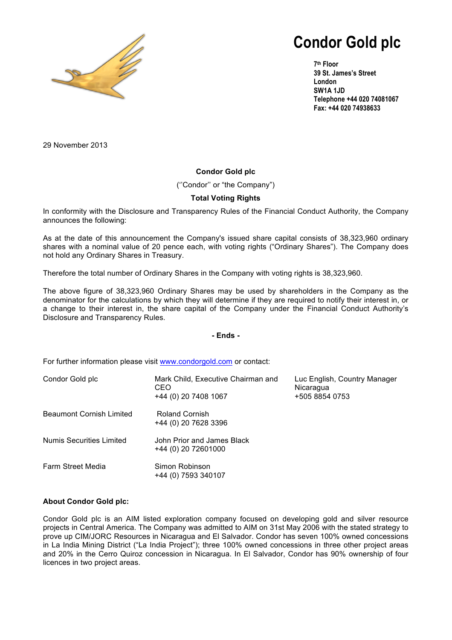

# **Condor Gold plc**

**7th Floor 39 St. James's Street London SW1A 1JD Telephone +44 020 74081067 Fax: +44 020 74938633**

29 November 2013

## **Condor Gold plc**

(''Condor'' or "the Company")

## **Total Voting Rights**

In conformity with the Disclosure and Transparency Rules of the Financial Conduct Authority, the Company announces the following:

As at the date of this announcement the Company's issued share capital consists of 38,323,960 ordinary shares with a nominal value of 20 pence each, with voting rights ("Ordinary Shares"). The Company does not hold any Ordinary Shares in Treasury.

Therefore the total number of Ordinary Shares in the Company with voting rights is 38,323,960.

The above figure of 38,323,960 Ordinary Shares may be used by shareholders in the Company as the denominator for the calculations by which they will determine if they are required to notify their interest in, or a change to their interest in, the share capital of the Company under the Financial Conduct Authority's Disclosure and Transparency Rules.

#### **- Ends -**

For further information please visit www.condorgold.com or contact:

| Condor Gold plc                 | Mark Child, Executive Chairman and<br>CEO<br>+44 (0) 20 7408 1067 | Luc English, Country Manager<br>Nicaragua<br>+505 8854 0753 |
|---------------------------------|-------------------------------------------------------------------|-------------------------------------------------------------|
| <b>Beaumont Cornish Limited</b> | <b>Roland Cornish</b><br>+44 (0) 20 7628 3396                     |                                                             |
| Numis Securities Limited        | John Prior and James Black<br>+44 (0) 20 72601000                 |                                                             |
| <b>Farm Street Media</b>        | Simon Robinson<br>+44 (0) 7593 340107                             |                                                             |

## **About Condor Gold plc:**

Condor Gold plc is an AIM listed exploration company focused on developing gold and silver resource projects in Central America. The Company was admitted to AIM on 31st May 2006 with the stated strategy to prove up CIM/JORC Resources in Nicaragua and El Salvador. Condor has seven 100% owned concessions in La India Mining District ("La India Project"); three 100% owned concessions in three other project areas and 20% in the Cerro Quiroz concession in Nicaragua. In El Salvador, Condor has 90% ownership of four licences in two project areas.